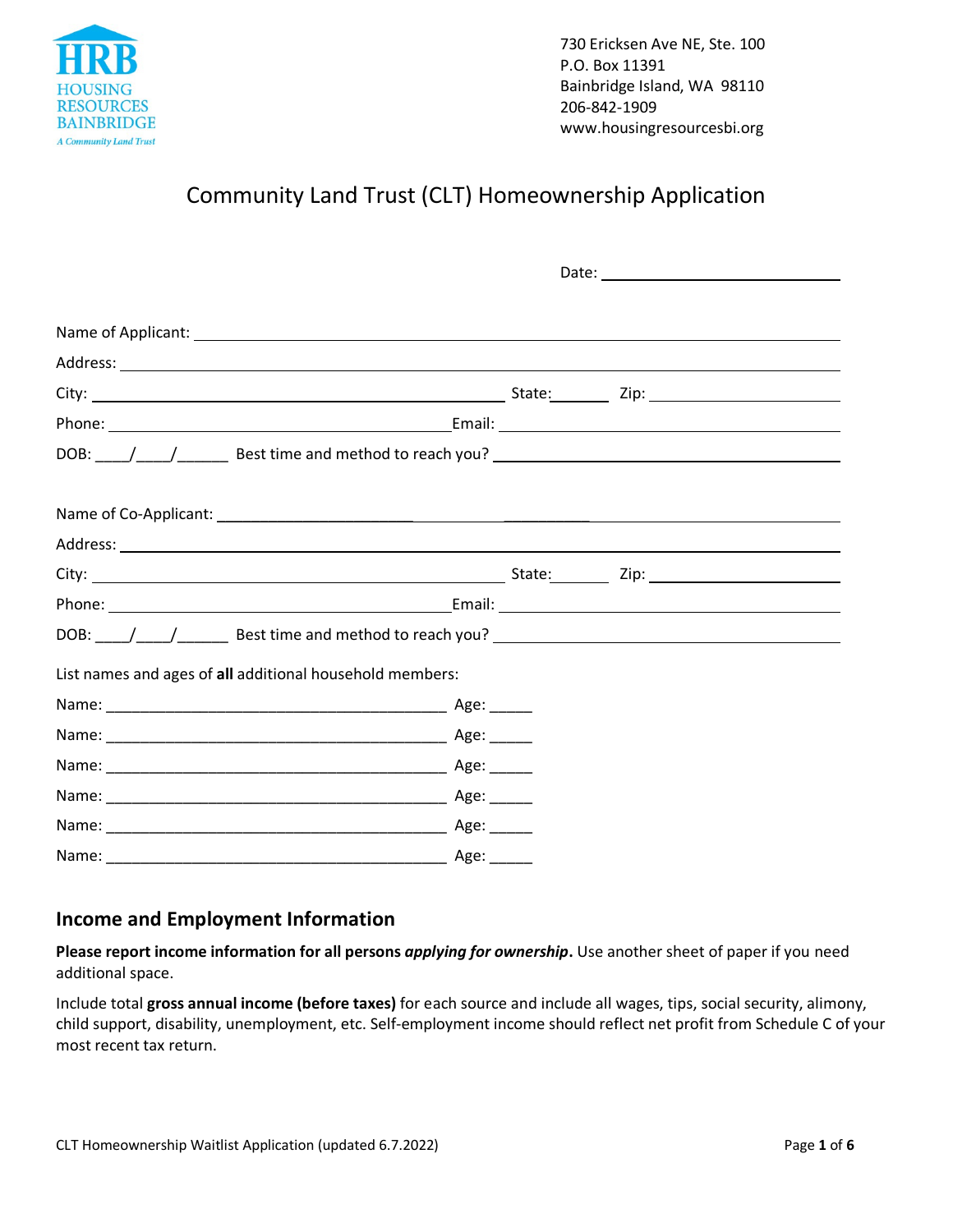

# Community Land Trust (CLT) Homeownership Application

| List names and ages of all additional household members: |  |  |  |
|----------------------------------------------------------|--|--|--|
|                                                          |  |  |  |
|                                                          |  |  |  |
|                                                          |  |  |  |
|                                                          |  |  |  |
|                                                          |  |  |  |
|                                                          |  |  |  |

### **Income and Employment Information**

**Please report income information for all persons** *applying for ownership***.** Use another sheet of paper if you need additional space.

Include total **gross annual income (before taxes)** for each source and include all wages, tips, social security, alimony, child support, disability, unemployment, etc. Self-employment income should reflect net profit from Schedule C of your most recent tax return.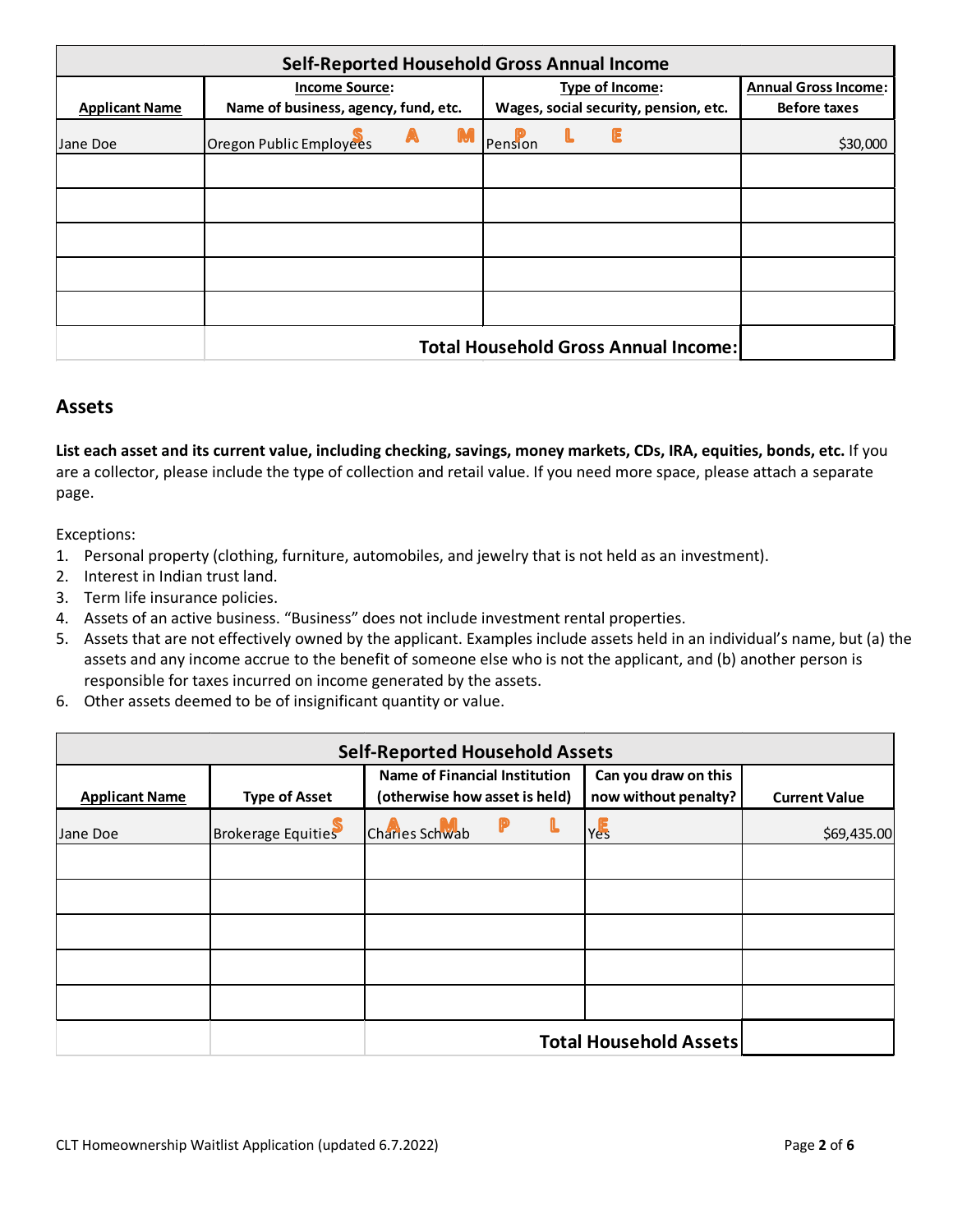| Self-Reported Household Gross Annual Income |                                      |  |                 |  |                                             |                     |
|---------------------------------------------|--------------------------------------|--|-----------------|--|---------------------------------------------|---------------------|
|                                             | <b>Income Source:</b>                |  | Type of Income: |  | <b>Annual Gross Income:</b>                 |                     |
| <b>Applicant Name</b>                       | Name of business, agency, fund, etc. |  |                 |  | Wages, social security, pension, etc.       | <b>Before taxes</b> |
| Jane Doe                                    | Oregon Public Employees              |  | Pension         |  |                                             | \$30,000            |
|                                             |                                      |  |                 |  |                                             |                     |
|                                             |                                      |  |                 |  |                                             |                     |
|                                             |                                      |  |                 |  |                                             |                     |
|                                             |                                      |  |                 |  |                                             |                     |
|                                             |                                      |  |                 |  |                                             |                     |
|                                             |                                      |  |                 |  | <b>Total Household Gross Annual Income:</b> |                     |

### **Assets**

**List each asset and its current value, including checking, savings, money markets, CDs, IRA, equities, bonds, etc.** If you are a collector, please include the type of collection and retail value. If you need more space, please attach a separate page.

Exceptions:

- 1. Personal property (clothing, furniture, automobiles, and jewelry that is not held as an investment).
- 2. Interest in Indian trust land.
- 3. Term life insurance policies.
- 4. Assets of an active business. "Business" does not include investment rental properties.
- 5. Assets that are not effectively owned by the applicant. Examples include assets held in an individual's name, but (a) the assets and any income accrue to the benefit of someone else who is not the applicant, and (b) another person is responsible for taxes incurred on income generated by the assets.
- 6. Other assets deemed to be of insignificant quantity or value.

| <b>Self-Reported Household Assets</b> |                           |                                                                       |   |                                              |                      |
|---------------------------------------|---------------------------|-----------------------------------------------------------------------|---|----------------------------------------------|----------------------|
| <b>Applicant Name</b>                 | <b>Type of Asset</b>      | <b>Name of Financial Institution</b><br>(otherwise how asset is held) |   | Can you draw on this<br>now without penalty? | <b>Current Value</b> |
| Jane Doe                              | <b>Brokerage Equities</b> | Charles Schwab                                                        | L | Yes                                          | \$69,435.00          |
|                                       |                           |                                                                       |   |                                              |                      |
|                                       |                           |                                                                       |   |                                              |                      |
|                                       |                           |                                                                       |   |                                              |                      |
|                                       |                           | <b>Total Household Assets</b>                                         |   |                                              |                      |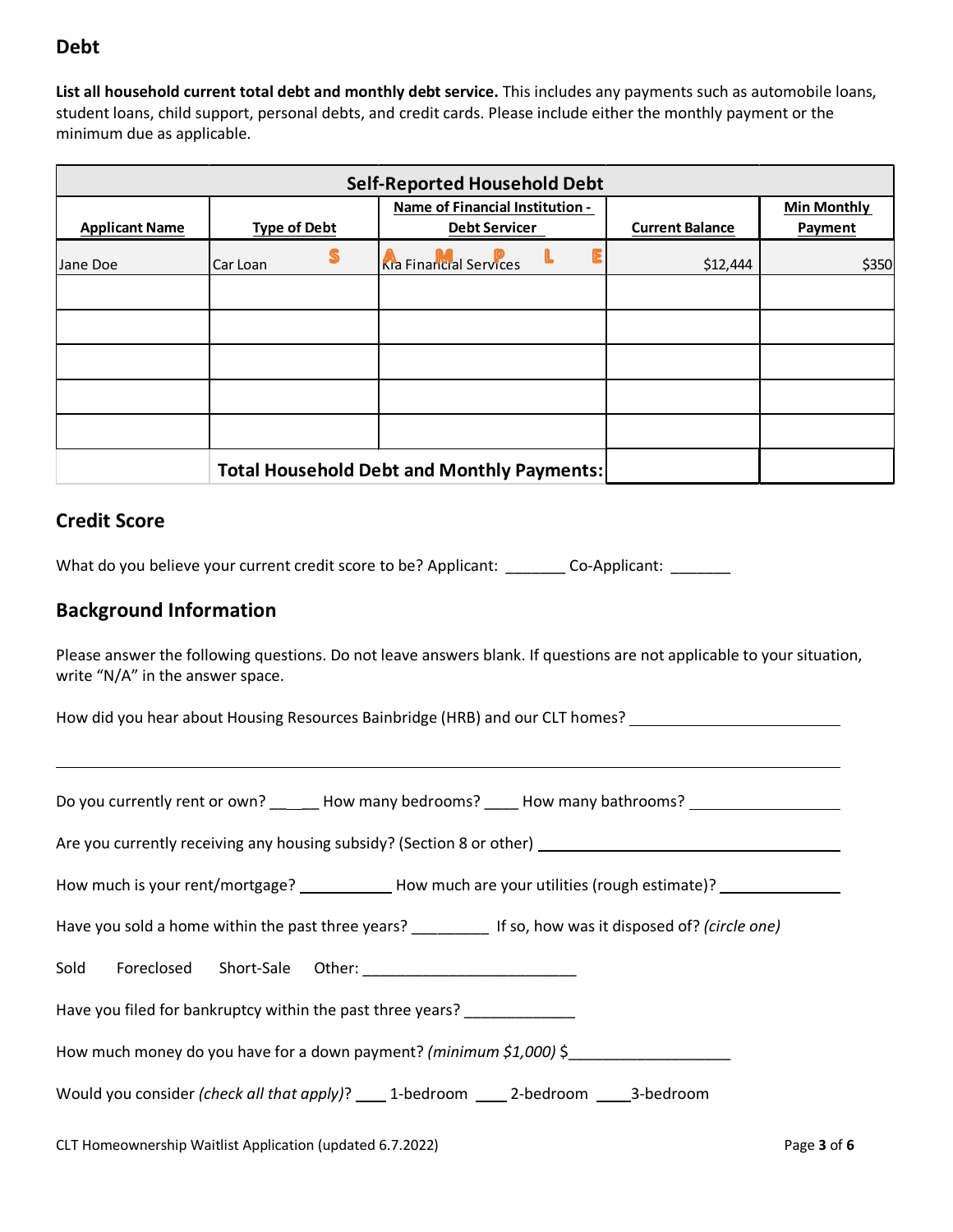# **Debt**

**List all household current total debt and monthly debt service.** This includes any payments such as automobile loans, student loans, child support, personal debts, and credit cards. Please include either the monthly payment or the minimum due as applicable.

| <b>Self-Reported Household Debt</b> |                     |                                                   |                        |                    |  |
|-------------------------------------|---------------------|---------------------------------------------------|------------------------|--------------------|--|
|                                     |                     | Name of Financial Institution -                   |                        | <b>Min Monthly</b> |  |
| <b>Applicant Name</b>               | <b>Type of Debt</b> | <b>Debt Servicer</b>                              | <b>Current Balance</b> | Payment            |  |
| Jane Doe                            | Car Loan            | <b>Ra</b> Financial Services                      | \$12,444               | \$350              |  |
|                                     |                     |                                                   |                        |                    |  |
|                                     |                     |                                                   |                        |                    |  |
|                                     |                     |                                                   |                        |                    |  |
|                                     |                     |                                                   |                        |                    |  |
|                                     |                     |                                                   |                        |                    |  |
|                                     |                     | <b>Total Household Debt and Monthly Payments:</b> |                        |                    |  |

### **Credit Score**

L

What do you believe your current credit score to be? Applicant: \_\_\_\_\_\_\_\_ Co-Applicant: \_\_\_\_\_\_\_

# **Background Information**

Please answer the following questions. Do not leave answers blank. If questions are not applicable to your situation, write "N/A" in the answer space.

How did you hear about Housing Resources Bainbridge (HRB) and our CLT homes?

| Do you currently rent or own? _______How many bedrooms? _____How many bathrooms? __________________         |  |  |  |  |
|-------------------------------------------------------------------------------------------------------------|--|--|--|--|
| Are you currently receiving any housing subsidy? (Section 8 or other) ______________________________        |  |  |  |  |
| How much is your rent/mortgage? _____________How much are your utilities (rough estimate)? _______________  |  |  |  |  |
| Have you sold a home within the past three years? _____________ If so, how was it disposed of? (circle one) |  |  |  |  |
|                                                                                                             |  |  |  |  |
| Have you filed for bankruptcy within the past three years?                                                  |  |  |  |  |
| How much money do you have for a down payment? (minimum $$1,000$ ) \$                                       |  |  |  |  |
| Would you consider (check all that apply)? ______ 1-bedroom _______ 2-bedroom ______ 3-bedroom              |  |  |  |  |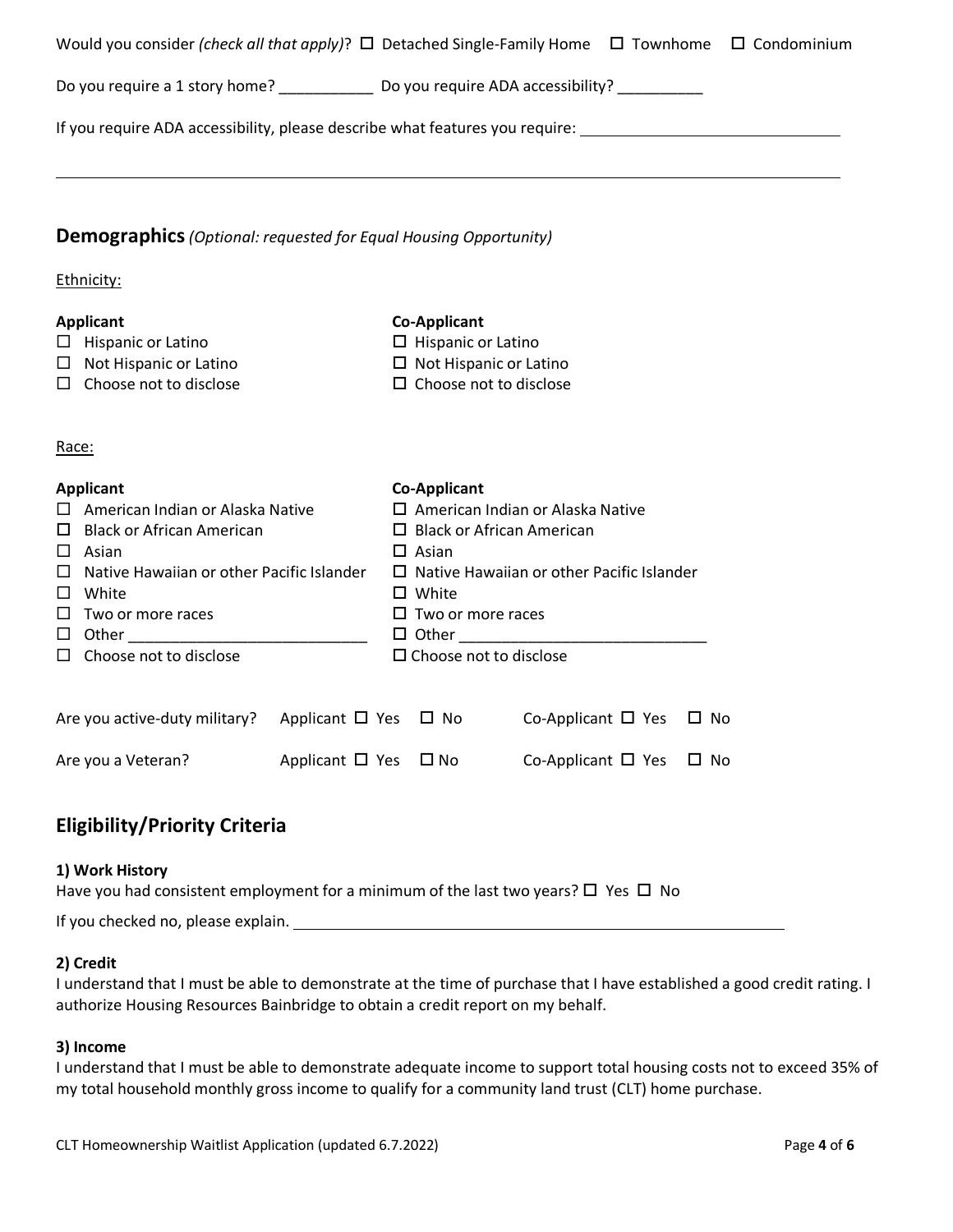|                                                                                                                                                                                                                                                                 | Would you consider (check all that apply)? $\Box$ Detached Single-Family Home $\Box$ Townhome $\Box$ Condominium                                                                                                                                          |
|-----------------------------------------------------------------------------------------------------------------------------------------------------------------------------------------------------------------------------------------------------------------|-----------------------------------------------------------------------------------------------------------------------------------------------------------------------------------------------------------------------------------------------------------|
| Do you require a 1 story home? _______________ Do you require ADA accessibility? __________                                                                                                                                                                     |                                                                                                                                                                                                                                                           |
|                                                                                                                                                                                                                                                                 | If you require ADA accessibility, please describe what features you require:                                                                                                                                                                              |
| <b>Demographics</b> (Optional: requested for Equal Housing Opportunity)                                                                                                                                                                                         |                                                                                                                                                                                                                                                           |
| Ethnicity:                                                                                                                                                                                                                                                      |                                                                                                                                                                                                                                                           |
| <b>Applicant</b><br>$\Box$ Hispanic or Latino<br>$\Box$ Not Hispanic or Latino<br>$\Box$ Choose not to disclose                                                                                                                                                 | <b>Co-Applicant</b><br>$\Box$ Hispanic or Latino<br>$\Box$ Not Hispanic or Latino<br>$\Box$ Choose not to disclose                                                                                                                                        |
| Race:                                                                                                                                                                                                                                                           |                                                                                                                                                                                                                                                           |
| <b>Applicant</b><br>$\Box$ American Indian or Alaska Native<br>$\Box$ Black or African American<br>Asian<br>$\Box$<br>Native Hawaiian or other Pacific Islander<br>$\Box$<br>White<br>$\Box$<br>ப<br>Two or more races<br>ப<br>Choose not to disclose<br>$\Box$ | <b>Co-Applicant</b><br>$\square$ American Indian or Alaska Native<br>$\Box$ Black or African American<br>$\Box$ Asian<br>$\Box$ Native Hawaiian or other Pacific Islander<br>$\Box$ White<br>$\Box$ Two or more races<br>$\square$ Choose not to disclose |
| Are you active-duty military?<br>Applicant $\Box$ Yes $\Box$ No                                                                                                                                                                                                 | Co-Applicant $\Box$ Yes<br>$\Box$ No                                                                                                                                                                                                                      |
| Are you a Veteran?<br>Applicant $\Box$ Yes                                                                                                                                                                                                                      | $\square$ No<br>Co-Applicant $\Box$ Yes<br>$\Box$ No                                                                                                                                                                                                      |

# **Eligibility/Priority Criteria**

#### **1) Work History**

Have you had consistent employment for a minimum of the last two years?  $\Box$  Yes  $\Box$  No

If you checked no, please explain.

#### **2) Credit**

I understand that I must be able to demonstrate at the time of purchase that I have established a good credit rating. I authorize Housing Resources Bainbridge to obtain a credit report on my behalf.

#### **3) Income**

I understand that I must be able to demonstrate adequate income to support total housing costs not to exceed 35% of my total household monthly gross income to qualify for a community land trust (CLT) home purchase.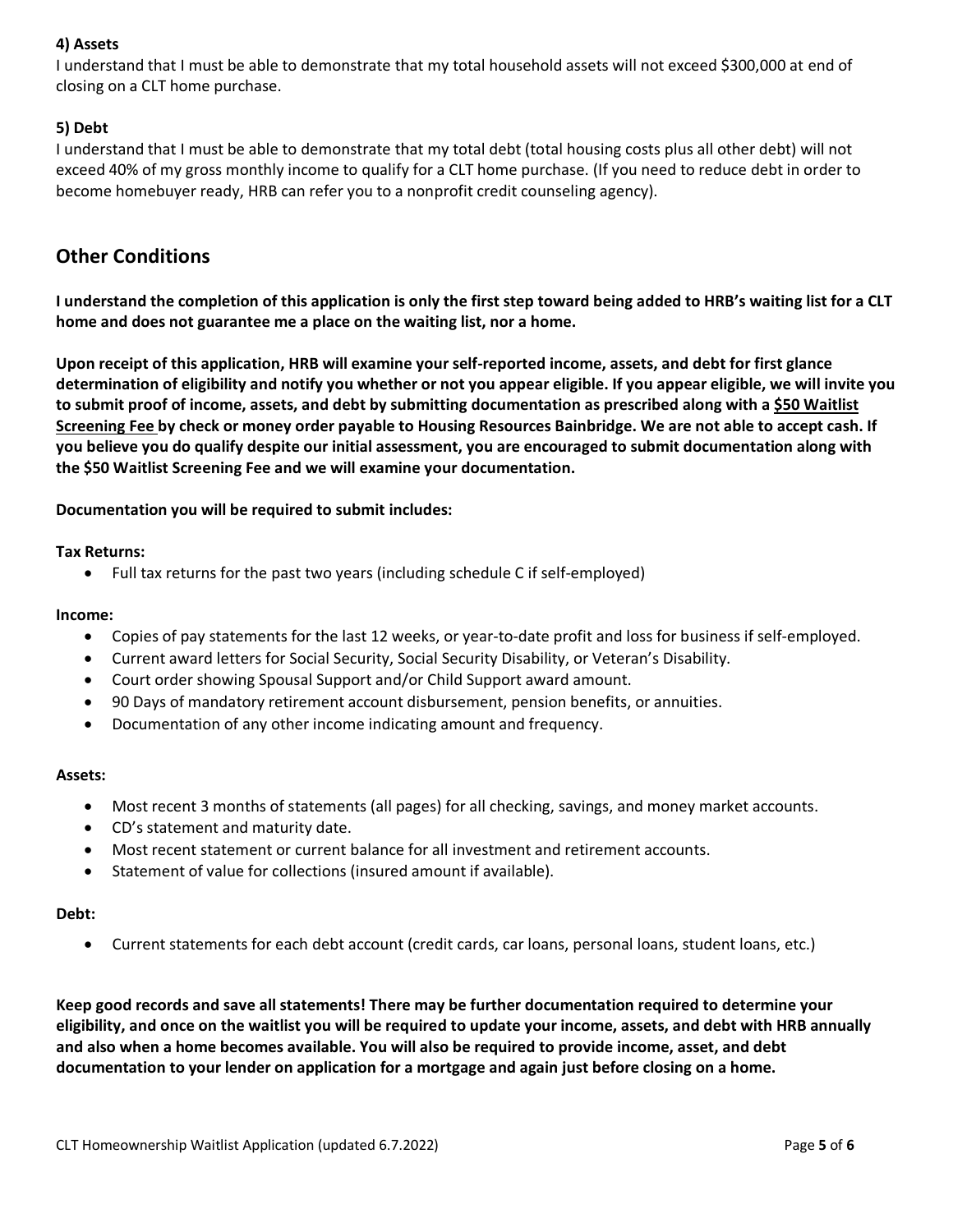### **4) Assets**

I understand that I must be able to demonstrate that my total household assets will not exceed \$300,000 at end of closing on a CLT home purchase.

### **5) Debt**

I understand that I must be able to demonstrate that my total debt (total housing costs plus all other debt) will not exceed 40% of my gross monthly income to qualify for a CLT home purchase. (If you need to reduce debt in order to become homebuyer ready, HRB can refer you to a nonprofit credit counseling agency).

## **Other Conditions**

**I understand the completion of this application is only the first step toward being added to HRB's waiting list for a CLT home and does not guarantee me a place on the waiting list, nor a home.**

**Upon receipt of this application, HRB will examine your self-reported income, assets, and debt for first glance determination of eligibility and notify you whether or not you appear eligible. If you appear eligible, we will invite you to submit proof of income, assets, and debt by submitting documentation as prescribed along with a \$50 Waitlist Screening Fee by check or money order payable to Housing Resources Bainbridge. We are not able to accept cash. If you believe you do qualify despite our initial assessment, you are encouraged to submit documentation along with the \$50 Waitlist Screening Fee and we will examine your documentation.**

**Documentation you will be required to submit includes:** 

#### **Tax Returns:**

• Full tax returns for the past two years (including schedule C if self-employed)

#### **Income:**

- Copies of pay statements for the last 12 weeks, or year-to-date profit and loss for business if self-employed.
- Current award letters for Social Security, Social Security Disability, or Veteran's Disability.
- Court order showing Spousal Support and/or Child Support award amount.
- 90 Days of mandatory retirement account disbursement, pension benefits, or annuities.
- Documentation of any other income indicating amount and frequency.

#### **Assets:**

- Most recent 3 months of statements (all pages) for all checking, savings, and money market accounts.
- CD's statement and maturity date.
- Most recent statement or current balance for all investment and retirement accounts.
- Statement of value for collections (insured amount if available).

#### **Debt:**

• Current statements for each debt account (credit cards, car loans, personal loans, student loans, etc.)

**Keep good records and save all statements! There may be further documentation required to determine your eligibility, and once on the waitlist you will be required to update your income, assets, and debt with HRB annually and also when a home becomes available. You will also be required to provide income, asset, and debt documentation to your lender on application for a mortgage and again just before closing on a home.**